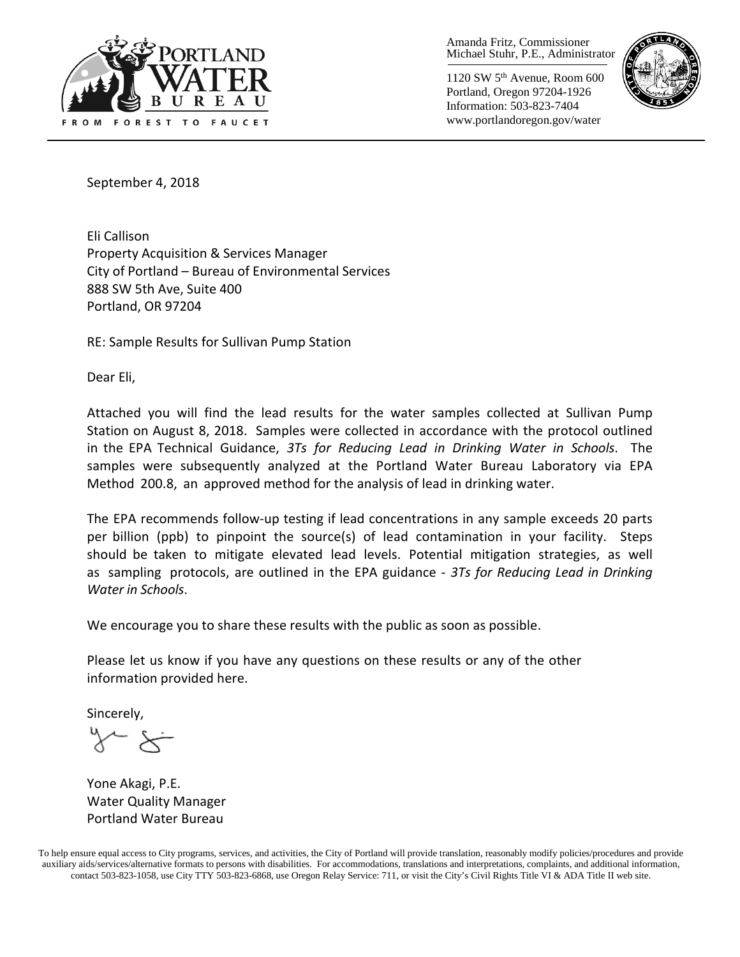

Amanda Fritz, Commissioner Michael Stuhr, P.E., Administrator

1120 SW 5th Avenue, Room 600 Portland, Oregon 97204-1926 Information: 503-823-7404 www.portlandoregon.gov/water



September 4, 2018

Eli Callison Property Acquisition & Services Manager City of Portland – Bureau of Environmental Services 888 SW 5th Ave, Suite 400 Portland, OR 97204

RE: Sample Results for Sullivan Pump Station

Dear Eli,

Attached you will find the lead results for the water samples collected at Sullivan Pump Station on August 8, 2018. Samples were collected in accordance with the protocol outlined in the EPA Technical Guidance, *3Ts for Reducing Lead in Drinking Water in Schools*. The samples were subsequently analyzed at the Portland Water Bureau Laboratory via EPA Method 200.8, an approved method for the analysis of lead in drinking water.

The EPA recommends follow-up testing if lead concentrations in any sample exceeds 20 parts per billion (ppb) to pinpoint the source(s) of lead contamination in your facility. Steps should be taken to mitigate elevated lead levels. Potential mitigation strategies, as well as sampling protocols, are outlined in the EPA guidance - *3Ts for Reducing Lead in Drinking Water in Schools*.

We encourage you to share these results with the public as soon as possible.

Please let us know if you have any questions on these results or any of the other information provided here.

Sincerely,

Yone Akagi, P.E. Water Quality Manager Portland Water Bureau

To help ensure equal access to City programs, services, and activities, the City of Portland will provide translation, reasonably modify policies/procedures and provide auxiliary aids/services/alternative formats to persons with disabilities. For accommodations, translations and interpretations, complaints, and additional information, contact 503-823-1058, use City TTY 503-823-6868, use Oregon Relay Service: 711, or visi[t the City's Civil Rights Title VI & ADA Title II web site.](http://www.portlandoregon.gov/oehr/66458)